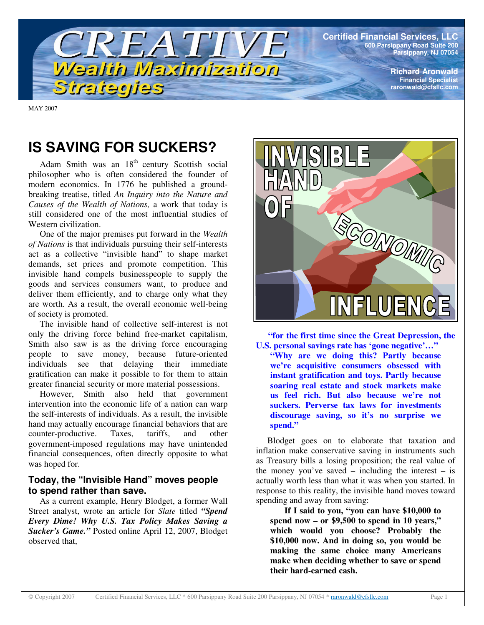

MAY 2007

# **IS SAVING FOR SUCKERS?**

Adam Smith was an 18<sup>th</sup> century Scottish social philosopher who is often considered the founder of modern economics. In 1776 he published a groundbreaking treatise, titled *An Inquiry into the Nature and Causes of the Wealth of Nations,* a work that today is still considered one of the most influential studies of Western civilization.

One of the major premises put forward in the *Wealth of Nations* is that individuals pursuing their self-interests act as a collective "invisible hand" to shape market demands, set prices and promote competition. This invisible hand compels businesspeople to supply the goods and services consumers want, to produce and deliver them efficiently, and to charge only what they are worth. As a result, the overall economic well-being of society is promoted.

The invisible hand of collective self-interest is not only the driving force behind free-market capitalism, Smith also saw is as the driving force encouraging people to save money, because future-oriented individuals see that delaying their immediate gratification can make it possible to for them to attain greater financial security or more material possessions.

However, Smith also held that government intervention into the economic life of a nation can warp the self-interests of individuals. As a result, the invisible hand may actually encourage financial behaviors that are counter-productive. Taxes, tariffs, and other government-imposed regulations may have unintended financial consequences, often directly opposite to what was hoped for.

## **Today, the "Invisible Hand" moves people to spend rather than save.**

As a current example, Henry Blodget, a former Wall Street analyst, wrote an article for *Slate* titled *"Spend Every Dime! Why U.S. Tax Policy Makes Saving a Sucker's Game."* Posted online April 12, 2007, Blodget observed that,



**"for the first time since the Great Depression, the U.S. personal savings rate has 'gone negative'…" "Why are we doing this? Partly because we're acquisitive consumers obsessed with instant gratification and toys. Partly because soaring real estate and stock markets make us feel rich. But also because we're not suckers. Perverse tax laws for investments discourage saving, so it's no surprise we spend."**

Blodget goes on to elaborate that taxation and inflation make conservative saving in instruments such as Treasury bills a losing proposition; the real value of the money you've saved – including the interest – is actually worth less than what it was when you started. In response to this reality, the invisible hand moves toward spending and away from saving:

**If I said to you, "you can have \$10,000 to spend now – or \$9,500 to spend in 10 years," which would you choose? Probably the \$10,000 now. And in doing so, you would be making the same choice many Americans make when deciding whether to save or spend their hard-earned cash.**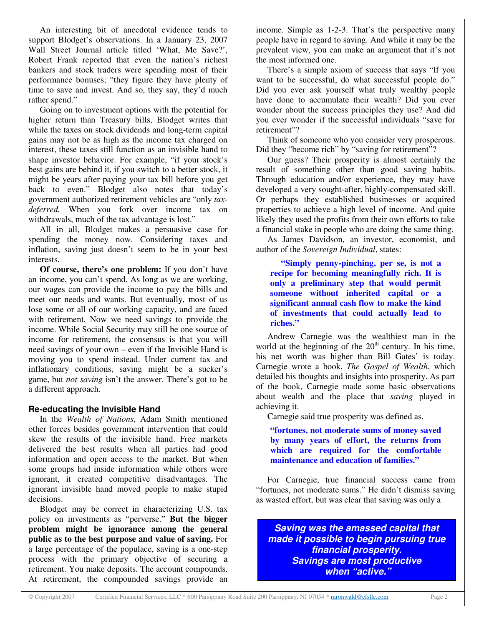An interesting bit of anecdotal evidence tends to support Blodget's observations. In a January 23, 2007 Wall Street Journal article titled 'What, Me Save?', Robert Frank reported that even the nation's richest bankers and stock traders were spending most of their performance bonuses; "they figure they have plenty of time to save and invest. And so, they say, they'd much rather spend."

Going on to investment options with the potential for higher return than Treasury bills, Blodget writes that while the taxes on stock dividends and long-term capital gains may not be as high as the income tax charged on interest, these taxes still function as an invisible hand to shape investor behavior. For example, "if your stock's best gains are behind it, if you switch to a better stock, it might be years after paying your tax bill before you get back to even." Blodget also notes that today's government authorized retirement vehicles are "only *taxdeferred.* When you fork over income tax on withdrawals, much of the tax advantage is lost."

All in all, Blodget makes a persuasive case for spending the money now. Considering taxes and inflation, saving just doesn't seem to be in your best interests.

**Of course, there's one problem:** If you don't have an income, you can't spend. As long as we are working, our wages can provide the income to pay the bills and meet our needs and wants. But eventually, most of us lose some or all of our working capacity, and are faced with retirement. Now we need savings to provide the income. While Social Security may still be one source of income for retirement, the consensus is that you will need savings of your own – even if the Invisible Hand is moving you to spend instead. Under current tax and inflationary conditions, saving might be a sucker's game, but *not saving* isn't the answer. There's got to be a different approach.

#### **Re-educating the Invisible Hand**

In the *Wealth of Nations*, Adam Smith mentioned other forces besides government intervention that could skew the results of the invisible hand. Free markets delivered the best results when all parties had good information and open access to the market. But when some groups had inside information while others were ignorant, it created competitive disadvantages. The ignorant invisible hand moved people to make stupid decisions.

Blodget may be correct in characterizing U.S. tax policy on investments as "perverse." **But the bigger problem might be ignorance among the general public as to the best purpose and value of saving.** For a large percentage of the populace, saving is a one-step process with the primary objective of securing a retirement. You make deposits. The account compounds. At retirement, the compounded savings provide an

income. Simple as 1-2-3. That's the perspective many people have in regard to saving. And while it may be the prevalent view, you can make an argument that it's not the most informed one.

There's a simple axiom of success that says "If you want to be successful, do what successful people do." Did you ever ask yourself what truly wealthy people have done to accumulate their wealth? Did you ever wonder about the success principles they use? And did you ever wonder if the successful individuals "save for retirement"?

Think of someone who you consider very prosperous. Did they "become rich" by "saving for retirement"?

Our guess? Their prosperity is almost certainly the result of something other than good saving habits. Through education and/or experience, they may have developed a very sought-after, highly-compensated skill. Or perhaps they established businesses or acquired properties to achieve a high level of income. And quite likely they used the profits from their own efforts to take a financial stake in people who are doing the same thing.

As James Davidson, an investor, economist, and author of the *Sovereign Individual*, states:

**"Simply penny-pinching, per se, is not a recipe for becoming meaningfully rich. It is only a preliminary step that would permit someone without inherited capital or a significant annual cash flow to make the kind of investments that could actually lead to riches."**

Andrew Carnegie was the wealthiest man in the world at the beginning of the  $20<sup>th</sup>$  century. In his time, his net worth was higher than Bill Gates' is today. Carnegie wrote a book, *The Gospel of Wealth*, which detailed his thoughts and insights into prosperity. As part of the book, Carnegie made some basic observations about wealth and the place that *saving* played in achieving it.

Carnegie said true prosperity was defined as,

**"fortunes, not moderate sums of money saved by many years of effort, the returns from which are required for the comfortable maintenance and education of families."**

For Carnegie, true financial success came from "fortunes, not moderate sums." He didn't dismiss saving as wasted effort, but was clear that saving was only a

*Saving was the amassed capital that made it possible to begin pursuing true financial prosperity. Savings are most productive when "active."*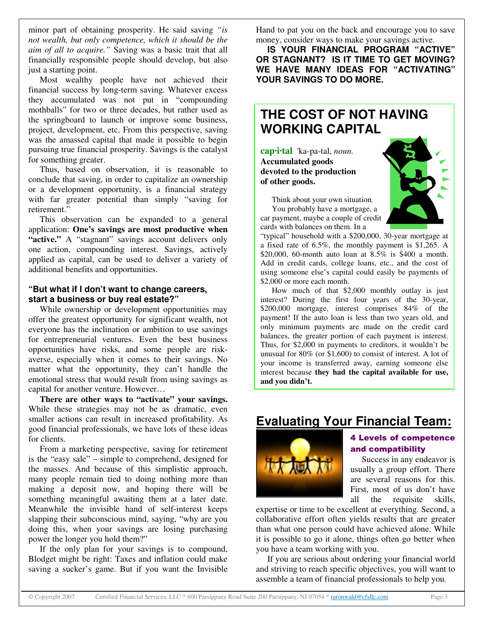minor part of obtaining prosperity. He said saving *"is not wealth, but only competence, which it should be the aim of all to acquire."* Saving was a basic trait that all financially responsible people should develop, but also just a starting point.

Most wealthy people have not achieved their financial success by long-term saving. Whatever excess they accumulated was not put in "compounding mothballs" for two or three decades, but rather used as the springboard to launch or improve some business, project, development, etc. From this perspective, saving was the amassed capital that made it possible to begin pursuing true financial prosperity. Savings is the catalyst for something greater.

Thus, based on observation, it is reasonable to conclude that saving, in order to capitalize an ownership or a development opportunity, is a financial strategy with far greater potential than simply "saving for retirement."

This observation can be expanded to a general application: **One's savings are most productive when "active."** A "stagnant" savings account delivers only one action, compounding interest. Savings, actively applied as capital, can be used to deliver a variety of additional benefits and opportunities.

### **"But what if I don't want to change careers, start a business or buy real estate?"**

While ownership or development opportunities may offer the greatest opportunity for significant wealth, not everyone has the inclination or ambition to use savings for entrepreneurial ventures. Even the best business opportunities have risks, and some people are riskaverse, especially when it comes to their savings. No matter what the opportunity, they can't handle the emotional stress that would result from using savings as capital for another venture. However…

**There are other ways to "activate" your savings.** While these strategies may not be as dramatic, even smaller actions can result in increased profitability. As good financial professionals, we have lots of these ideas for clients.

From a marketing perspective, saving for retirement is the "easy sale" – simple to comprehend, designed for the masses. And because of this simplistic approach, many people remain tied to doing nothing more than making a deposit now, and hoping there will be something meaningful awaiting them at a later date. Meanwhile the invisible hand of self-interest keeps slapping their subconscious mind, saying, "why are you doing this, when your savings are losing purchasing power the longer you hold them?"

If the only plan for your savings is to compound, Blodget might be right: Taxes and inflation could make saving a sucker's game. But if you want the Invisible Hand to pat you on the back and encourage you to save money, consider ways to make your savings active.

**IS YOUR FINANCIAL PROGRAM "ACTIVE" OR STAGNANT? IS IT TIME TO GET MOVING? WE HAVE MANY IDEAS FOR "ACTIVATING" YOUR SAVINGS TO DO MORE.**

## **THE COST OF NOT HAVING WORKING CAPITAL**

**cap·i·tal** 'ka-pa-tal, *noun.* **Accumulated goods devoted to the production of other goods.**



Think about your own situation. You probably have a mortgage, a car payment, maybe a couple of credit cards with balances on them. In a

"typical" household with a \$200,000, 30-year mortgage at a fixed rate of 6.5%, the monthly payment is \$1,265. A \$20,000, 60-month auto loan at 8.5% is \$400 a month. Add in credit cards, college loans, etc., and the cost of using someone else's capital could easily be payments of \$2,000 or more each month.

How much of that \$2,000 monthly outlay is just interest? During the first four years of the 30-year, \$200,000 mortgage, interest comprises 84% of the payment! If the auto loan is less than two years old, and only minimum payments are made on the credit card balances, the greater portion of each payment is interest. Thus, for \$2,000 in payments to creditors, it wouldn't be unusual for 80% (or \$1,600) to consist of interest. A lot of your income is transferred away, earning someone else interest because **they had the capital available for use, and you didn't.**

## **Evaluating Your Financial Team:**



## **4 Levels of competence** and compatibility

Success in any endeavor is usually a group effort. There are several reasons for this. First, most of us don't have all the requisite skills,

expertise or time to be excellent at everything. Second, a collaborative effort often yields results that are greater than what one person could have achieved alone. While it is possible to go it alone, things often go better when you have a team working with you.

If you are serious about ordering your financial world and striving to reach specific objectives, you will want to assemble a team of financial professionals to help you.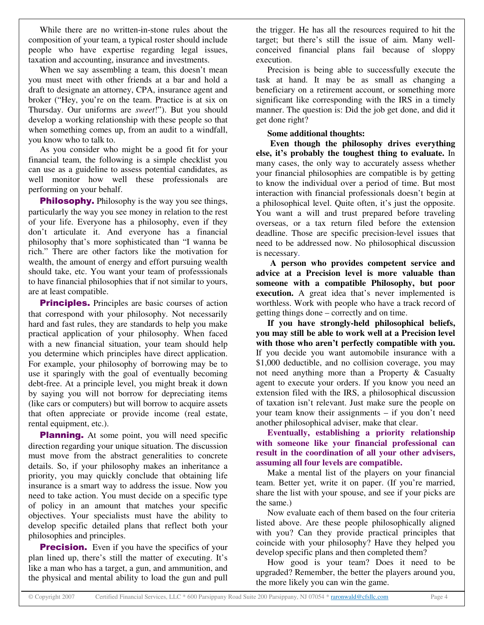While there are no written-in-stone rules about the composition of your team, a typical roster should include people who have expertise regarding legal issues, taxation and accounting, insurance and investments.

When we say assembling a team, this doesn't mean you must meet with other friends at a bar and hold a draft to designate an attorney, CPA, insurance agent and broker ("Hey, you're on the team. Practice is at six on Thursday. Our uniforms are *sweet*!"). But you should develop a working relationship with these people so that when something comes up, from an audit to a windfall, you know who to talk to.

As you consider who might be a good fit for your financial team, the following is a simple checklist you can use as a guideline to assess potential candidates, as well monitor how well these professionals are performing on your behalf.

**Philosophy.** Philosophy is the way you see things, particularly the way you see money in relation to the rest of your life. Everyone has a philosophy, even if they don't articulate it. And everyone has a financial philosophy that's more sophisticated than "I wanna be rich." There are other factors like the motivation for wealth, the amount of energy and effort pursuing wealth should take, etc. You want your team of professsionals to have financial philosophies that if not similar to yours, are at least compatible.

Principles. Principles are basic courses of action that correspond with your philosophy. Not necessarily hard and fast rules, they are standards to help you make practical application of your philosophy. When faced with a new financial situation, your team should help you determine which principles have direct application. For example, your philosophy of borrowing may be to use it sparingly with the goal of eventually becoming debt-free. At a principle level, you might break it down by saying you will not borrow for depreciating items (like cars or computers) but will borrow to acquire assets that often appreciate or provide income (real estate, rental equipment, etc.).

**Planning.** At some point, you will need specific direction regarding your unique situation. The discussion must move from the abstract generalities to concrete details. So, if your philosophy makes an inheritance a priority, you may quickly conclude that obtaining life insurance is a smart way to address the issue. Now you need to take action. You must decide on a specific type of policy in an amount that matches your specific objectives. Your specialists must have the ability to develop specific detailed plans that reflect both your philosophies and principles.

**Precision.** Even if you have the specifics of your plan lined up, there's still the matter of executing. It's like a man who has a target, a gun, and ammunition, and the physical and mental ability to load the gun and pull

the trigger. He has all the resources required to hit the target; but there's still the issue of aim. Many wellconceived financial plans fail because of sloppy execution.

Precision is being able to successfully execute the task at hand. It may be as small as changing a beneficiary on a retirement account, or something more significant like corresponding with the IRS in a timely manner. The question is: Did the job get done, and did it get done right?

### **Some additional thoughts:**

**Even though the philosophy drives everything else, it's probably the toughest thing to evaluate.** In many cases, the only way to accurately assess whether your financial philosophies are compatible is by getting to know the individual over a period of time. But most interaction with financial professionals doesn't begin at a philosophical level. Quite often, it's just the opposite. You want a will and trust prepared before traveling overseas, or a tax return filed before the extension deadline. Those are specific precision-level issues that need to be addressed now. No philosophical discussion is necessary.

**A person who provides competent service and advice at a Precision level is more valuable than someone with a compatible Philosophy, but poor execution.** A great idea that's never implemented is worthless. Work with people who have a track record of getting things done – correctly and on time.

**If you have strongly-held philosophical beliefs, you may still be able to work well at a Precision level with those who aren't perfectly compatible with you.** If you decide you want automobile insurance with a \$1,000 deductible, and no collision coverage, you may not need anything more than a Property & Casualty agent to execute your orders. If you know you need an extension filed with the IRS, a philosophical discussion of taxation isn't relevant. Just make sure the people on your team know their assignments – if you don't need another philosophical adviser, make that clear.

**Eventually, establishing a priority relationship with someone like your financial professional can result in the coordination of all your other advisers, assuming all four levels are compatible.**

Make a mental list of the players on your financial team. Better yet, write it on paper. (If you're married, share the list with your spouse, and see if your picks are the same.)

Now evaluate each of them based on the four criteria listed above. Are these people philosophically aligned with you? Can they provide practical principles that coincide with your philosophy? Have they helped you develop specific plans and then completed them?

How good is your team? Does it need to be upgraded? Remember, the better the players around you, the more likely you can win the game.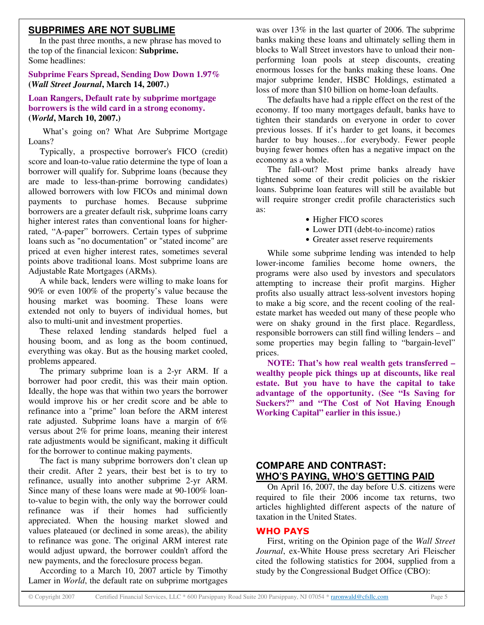## **SUBPRIMES ARE NOT SUBLIME**

In the past three months, a new phrase has moved to the top of the financial lexicon: **Subprime.** Some headlines:

#### **Subprime Fears Spread, Sending Dow Down 1.97% (***Wall Street Journal***, March 14, 2007.)**

**Loan Rangers, Default rate by subprime mortgage borrowers is the wild card in a strong economy. (***World***, March 10, 2007.)**

What's going on? What Are Subprime Mortgage Loans?

Typically, a prospective borrower's FICO (credit) score and loan-to-value ratio determine the type of loan a borrower will qualify for. Subprime loans (because they are made to less-than-prime borrowing candidates) allowed borrowers with low FICOs and minimal down payments to purchase homes. Because subprime borrowers are a greater default risk, subprime loans carry higher interest rates than conventional loans for higherrated, "A-paper" borrowers. Certain types of subprime loans such as "no documentation" or "stated income" are priced at even higher interest rates, sometimes several points above traditional loans. Most subprime loans are Adjustable Rate Mortgages (ARMs).

A while back, lenders were willing to make loans for 90% or even 100% of the property's value because the housing market was booming. These loans were extended not only to buyers of individual homes, but also to multi-unit and investment properties.

These relaxed lending standards helped fuel a housing boom, and as long as the boom continued, everything was okay. But as the housing market cooled, problems appeared.

The primary subprime loan is a 2-yr ARM. If a borrower had poor credit, this was their main option. Ideally, the hope was that within two years the borrower would improve his or her credit score and be able to refinance into a "prime" loan before the ARM interest rate adjusted. Subprime loans have a margin of 6% versus about 2% for prime loans, meaning their interest rate adjustments would be significant, making it difficult for the borrower to continue making payments.

The fact is many subprime borrowers don't clean up their credit. After 2 years, their best bet is to try to refinance, usually into another subprime 2-yr ARM. Since many of these loans were made at 90-100% loanto-value to begin with, the only way the borrower could refinance was if their homes had sufficiently appreciated. When the housing market slowed and values plateaued (or declined in some areas), the ability to refinance was gone. The original ARM interest rate would adjust upward, the borrower couldn't afford the new payments, and the foreclosure process began.

According to a March 10, 2007 article by Timothy Lamer in *World*, the default rate on subprime mortgages

was over 13% in the last quarter of 2006. The subprime banks making these loans and ultimately selling them in blocks to Wall Street investors have to unload their nonperforming loan pools at steep discounts, creating enormous losses for the banks making these loans. One major subprime lender, HSBC Holdings, estimated a loss of more than \$10 billion on home-loan defaults.

The defaults have had a ripple effect on the rest of the economy. If too many mortgages default, banks have to tighten their standards on everyone in order to cover previous losses. If it's harder to get loans, it becomes harder to buy houses…for everybody. Fewer people buying fewer homes often has a negative impact on the economy as a whole.

The fall-out? Most prime banks already have tightened some of their credit policies on the riskier loans. Subprime loan features will still be available but will require stronger credit profile characteristics such as:

- Higher FICO scores
- Lower DTI (debt-to-income) ratios
- Greater asset reserve requirements

While some subprime lending was intended to help lower-income families become home owners, the programs were also used by investors and speculators attempting to increase their profit margins. Higher profits also usually attract less-solvent investors hoping to make a big score, and the recent cooling of the realestate market has weeded out many of these people who were on shaky ground in the first place. Regardless, responsible borrowers can still find willing lenders – and some properties may begin falling to "bargain-level" prices.

**NOTE: That's how real wealth gets transferred – wealthy people pick things up at discounts, like real estate. But you have to have the capital to take advantage of the opportunity. (See "Is Saving for Suckers?" and "The Cost of Not Having Enough Working Capital" earlier in this issue.)**

## **COMPARE AND CONTRAST: WHO'S PAYING, WHO'S GETTING PAID**

On April 16, 2007, the day before U.S. citizens were required to file their 2006 income tax returns, two articles highlighted different aspects of the nature of taxation in the United States.

## **WHO PAYS**

First, writing on the Opinion page of the *Wall Street Journal*, ex-White House press secretary Ari Fleischer cited the following statistics for 2004, supplied from a study by the Congressional Budget Office (CBO):